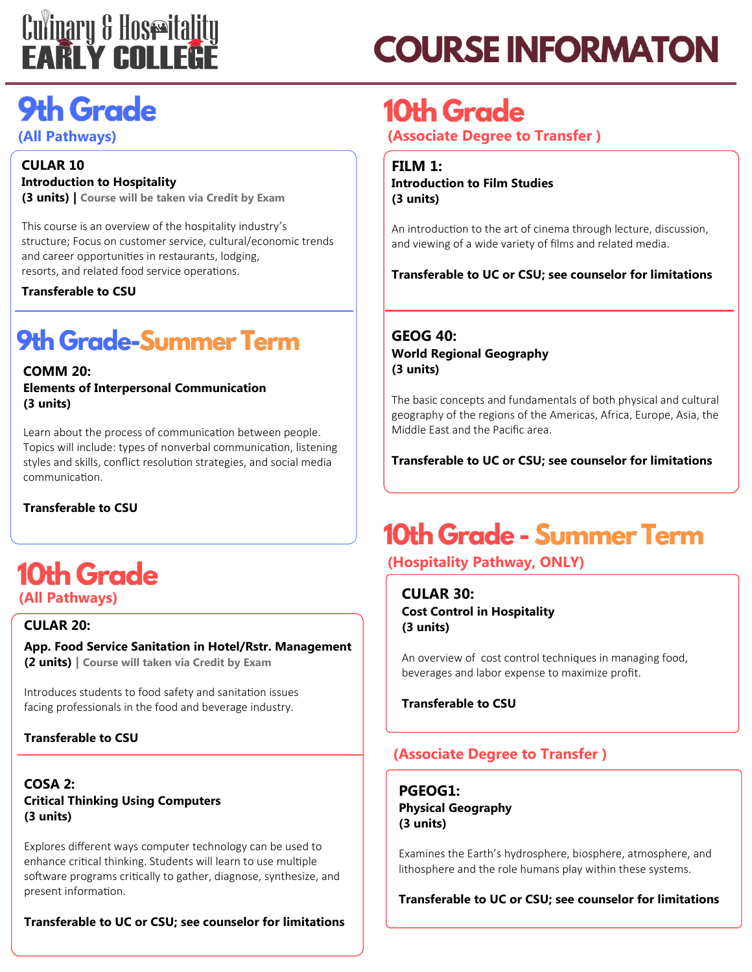# **Culinary & Hoseitality**<br>**EARLY COLLERE**

## **COURSE INFORMATON**

### **9th Grade**

### **(All Pathways)**

### **CULAR 10 Introduction to Hospitality**

**(3 units) | Course will be taken via Credit by Exam**

This course is an overview of the hospitality industry's structure; Focus on customer service, cultural/economic trends and career opportunities in restaurants, lodging, resorts, and related food service operations.

**Transferable to CSU**

### **9th Grade-Summer Term**

### **COMM 20:**

**Elements of Interpersonal Communication (3 units)**

Learn about the process of communication between people. Topics will include: types of nonverbal communication, listening styles and skills, conflict resolution strategies, and social media communication.

**Transferable to CSU**

### 10th Grade **(All Pathways)**

### **CULAR 20:**

**App. Food Service Sanitation in Hotel/Rstr. Management (2 units) | Course will taken via Credit by Exam**

Introduces students to food safety and sanitation issues facing professionals in the food and beverage industry.

### **Transferable to CSU**

**COSA 2: Critical Thinking Using Computers (3 units)**

Explores different ways computer technology can be used to enhance critical thinking. Students will learn to use multiple software programs critically to gather, diagnose, synthesize, and present information.

**Transferable to UC or CSU; see counselor for limitations**

### **10th Grade**

**(Associate Degree to Transfer )**

**FILM 1: Introduction to Film Studies (3 units)**

An introduction to the art of cinema through lecture, discussion, and viewing of a wide variety of films and related media.

**Transferable to UC or CSU; see counselor for limitations**

### **GEOG 40: World Regional Geography (3 units)**

The basic concepts and fundamentals of both physical and cultural geography of the regions of the Americas, Africa, Europe, Asia, the Middle East and the Pacific area.

**Transferable to UC or CSU; see counselor for limitations**

### **10th Grade - Summer Term**

### **(Hospitality Pathway, ONLY)**

**CULAR 30: Cost Control in Hospitality (3 units)**

An overview of cost control techniques in managing food, beverages and labor expense to maximize profit.

**Transferable to CSU** 

### **(Associate Degree to Transfer )**

**PGEOG1: Physical Geography (3 units)**

Examines the Earth's hydrosphere, biosphere, atmosphere, and lithosphere and the role humans play within these systems.

**Transferable to UC or CSU; see counselor for limitations**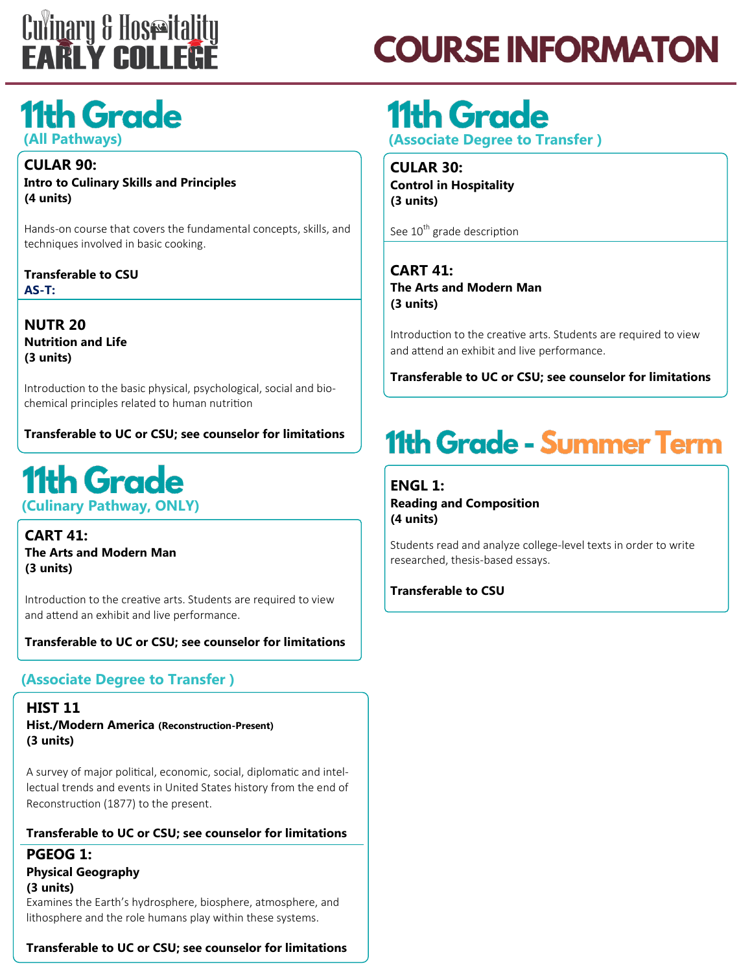

## **COURSE INFORMATON**

### **11th Grade (All Pathways)**

**CULAR 90: Intro to Culinary Skills and Principles (4 units)**

Hands-on course that covers the fundamental concepts, skills, and techniques involved in basic cooking.

**Transferable to CSU AS-T:**

**NUTR 20 Nutrition and Life (3 units)**

Introduction to the basic physical, psychological, social and biochemical principles related to human nutrition

**Transferable to UC or CSU; see counselor for limitations**

### **11th Grade (Culinary Pathway, ONLY)**

**CART 41: The Arts and Modern Man (3 units)**

Introduction to the creative arts. Students are required to view and attend an exhibit and live performance.

**Transferable to UC or CSU; see counselor for limitations**

### **(Associate Degree to Transfer )**

**HIST 11 Hist./Modern America (Reconstruction-Present) (3 units)**

A survey of major political, economic, social, diplomatic and intellectual trends and events in United States history from the end of Reconstruction (1877) to the present.

#### **Transferable to UC or CSU; see counselor for limitations**

**PGEOG 1: Physical Geography (3 units)** Examines the Earth's hydrosphere, biosphere, atmosphere, and lithosphere and the role humans play within these systems.

**Transferable to UC or CSU; see counselor for limitations**

## **11th Grade**

**(Associate Degree to Transfer )**

**CULAR 30: Control in Hospitality (3 units)**

See 10<sup>th</sup> grade description

**CART 41: The Arts and Modern Man (3 units)** 

Introduction to the creative arts. Students are required to view and attend an exhibit and live performance.

**Transferable to UC or CSU; see counselor for limitations**

### **11th Grade - Summer Term**

**ENGL 1: Reading and Composition (4 units)**

Students read and analyze college-level texts in order to write researched, thesis-based essays.

**Transferable to CSU**